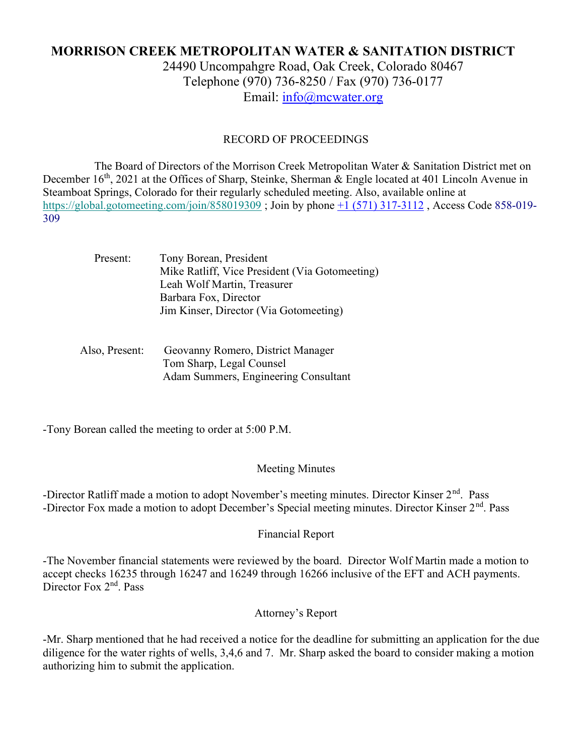# MORRISON CREEK METROPOLITAN WATER & SANITATION DISTRICT

24490 Uncompahgre Road, Oak Creek, Colorado 80467 Telephone (970) 736-8250 / Fax (970) 736-0177 Email: info@mcwater.org

#### RECORD OF PROCEEDINGS

 The Board of Directors of the Morrison Creek Metropolitan Water & Sanitation District met on December 16<sup>th</sup>, 2021 at the Offices of Sharp, Steinke, Sherman & Engle located at 401 Lincoln Avenue in Steamboat Springs, Colorado for their regularly scheduled meeting. Also, available online at https://global.gotomeeting.com/join/858019309 ; Join by phone +1 (571) 317-3112 , Access Code 858-019- 309

| Present:       | Tony Borean, President                         |
|----------------|------------------------------------------------|
|                | Mike Ratliff, Vice President (Via Gotomeeting) |
|                | Leah Wolf Martin, Treasurer                    |
|                | Barbara Fox, Director                          |
|                | Jim Kinser, Director (Via Gotomeeting)         |
|                |                                                |
| Also, Present: | Geovanny Romero, District Manager              |
|                |                                                |
|                | Tom Sharp, Legal Counsel                       |

Adam Summers, Engineering Consultant

-Tony Borean called the meeting to order at 5:00 P.M.

#### Meeting Minutes

-Director Ratliff made a motion to adopt November's meeting minutes. Director Kinser 2<sup>nd</sup>. Pass -Director Fox made a motion to adopt December's Special meeting minutes. Director Kinser 2<sup>nd</sup>. Pass

#### Financial Report

-The November financial statements were reviewed by the board. Director Wolf Martin made a motion to accept checks 16235 through 16247 and 16249 through 16266 inclusive of the EFT and ACH payments. Director Fox 2<sup>nd</sup>. Pass

## Attorney's Report

-Mr. Sharp mentioned that he had received a notice for the deadline for submitting an application for the due diligence for the water rights of wells, 3,4,6 and 7. Mr. Sharp asked the board to consider making a motion authorizing him to submit the application.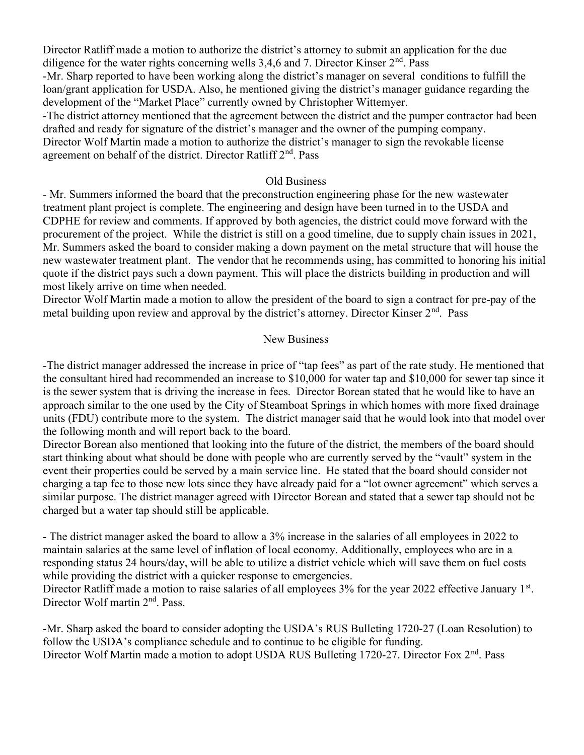Director Ratliff made a motion to authorize the district's attorney to submit an application for the due diligence for the water rights concerning wells 3,4,6 and 7. Director Kinser  $2<sup>nd</sup>$ . Pass

-Mr. Sharp reported to have been working along the district's manager on several conditions to fulfill the loan/grant application for USDA. Also, he mentioned giving the district's manager guidance regarding the development of the "Market Place" currently owned by Christopher Wittemyer.

-The district attorney mentioned that the agreement between the district and the pumper contractor had been drafted and ready for signature of the district's manager and the owner of the pumping company.

Director Wolf Martin made a motion to authorize the district's manager to sign the revokable license agreement on behalf of the district. Director Ratliff 2<sup>nd</sup>. Pass

#### Old Business

- Mr. Summers informed the board that the preconstruction engineering phase for the new wastewater treatment plant project is complete. The engineering and design have been turned in to the USDA and CDPHE for review and comments. If approved by both agencies, the district could move forward with the procurement of the project. While the district is still on a good timeline, due to supply chain issues in 2021, Mr. Summers asked the board to consider making a down payment on the metal structure that will house the new wastewater treatment plant. The vendor that he recommends using, has committed to honoring his initial quote if the district pays such a down payment. This will place the districts building in production and will most likely arrive on time when needed.

Director Wolf Martin made a motion to allow the president of the board to sign a contract for pre-pay of the metal building upon review and approval by the district's attorney. Director Kinser 2<sup>nd</sup>. Pass

### New Business

-The district manager addressed the increase in price of "tap fees" as part of the rate study. He mentioned that the consultant hired had recommended an increase to \$10,000 for water tap and \$10,000 for sewer tap since it is the sewer system that is driving the increase in fees. Director Borean stated that he would like to have an approach similar to the one used by the City of Steamboat Springs in which homes with more fixed drainage units (FDU) contribute more to the system. The district manager said that he would look into that model over the following month and will report back to the board.

Director Borean also mentioned that looking into the future of the district, the members of the board should start thinking about what should be done with people who are currently served by the "vault" system in the event their properties could be served by a main service line. He stated that the board should consider not charging a tap fee to those new lots since they have already paid for a "lot owner agreement" which serves a similar purpose. The district manager agreed with Director Borean and stated that a sewer tap should not be charged but a water tap should still be applicable.

- The district manager asked the board to allow a 3% increase in the salaries of all employees in 2022 to maintain salaries at the same level of inflation of local economy. Additionally, employees who are in a responding status 24 hours/day, will be able to utilize a district vehicle which will save them on fuel costs while providing the district with a quicker response to emergencies.

Director Ratliff made a motion to raise salaries of all employees 3% for the year 2022 effective January 1<sup>st</sup>. Director Wolf martin 2<sup>nd</sup>. Pass.

-Mr. Sharp asked the board to consider adopting the USDA's RUS Bulleting 1720-27 (Loan Resolution) to follow the USDA's compliance schedule and to continue to be eligible for funding. Director Wolf Martin made a motion to adopt USDA RUS Bulleting 1720-27. Director Fox 2<sup>nd</sup>. Pass